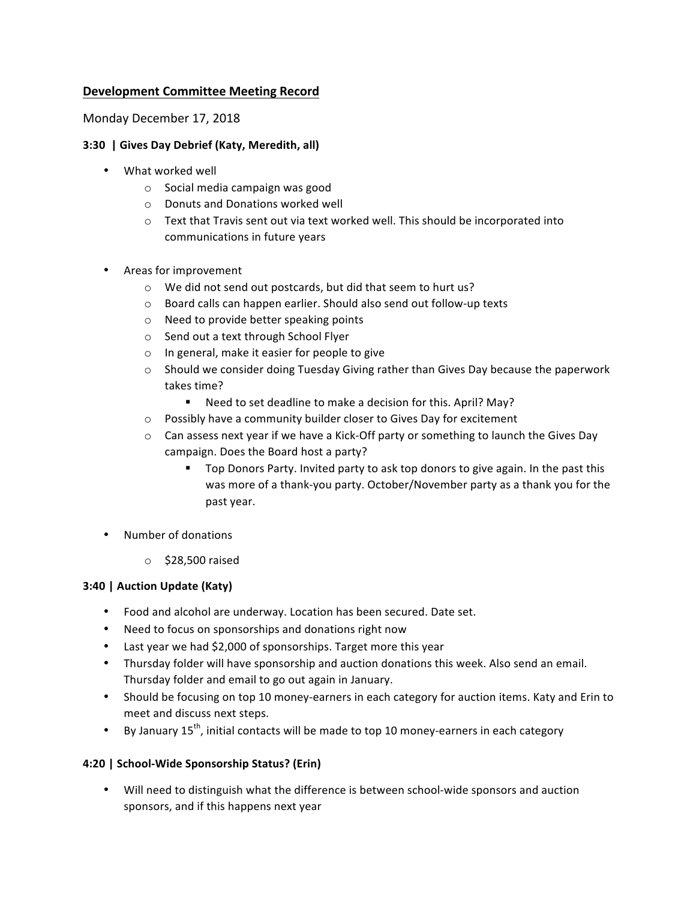## **Development Committee Meeting Record**

Monday December 17, 2018

### **3:30 | Gives Day Debrief (Katy, Meredith, all)**

- What worked well
	- $\circ$  Social media campaign was good
	- o Donuts and Donations worked well
	- $\circ$  Text that Travis sent out via text worked well. This should be incorporated into communications in future years
- Areas for improvement
	- o We did not send out postcards, but did that seem to hurt us?
	- o Board calls can happen earlier. Should also send out follow-up texts
	- $\circ$  Need to provide better speaking points
	- o Send out a text through School Flyer
	- $\circ$  In general, make it easier for people to give
	- $\circ$  Should we consider doing Tuesday Giving rather than Gives Day because the paperwork takes time?
		- Need to set deadline to make a decision for this. April? May?
	- $\circ$  Possibly have a community builder closer to Gives Day for excitement
	- $\circ$  Can assess next year if we have a Kick-Off party or something to launch the Gives Day campaign. Does the Board host a party?
		- " Top Donors Party. Invited party to ask top donors to give again. In the past this was more of a thank-you party. October/November party as a thank you for the past year.
- Number of donations
	- $\circ$  \$28,500 raised

#### **3:40 | Auction Update (Katy)**

- Food and alcohol are underway. Location has been secured. Date set.
- Need to focus on sponsorships and donations right now
- Last year we had \$2,000 of sponsorships. Target more this year
- Thursday folder will have sponsorship and auction donations this week. Also send an email. Thursday folder and email to go out again in January.
- Should be focusing on top 10 money-earners in each category for auction items. Katy and Erin to meet and discuss next steps.
- By January  $15^{th}$ , initial contacts will be made to top 10 money-earners in each category

### **4:20 | School-Wide Sponsorship Status? (Erin)**

• Will need to distinguish what the difference is between school-wide sponsors and auction sponsors, and if this happens next year